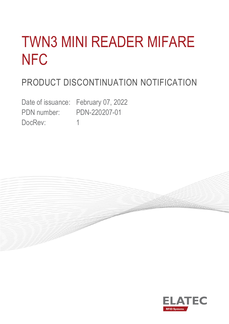# TWN3 MINI READER MIFARE **NFC**

# PRODUCT DISCONTINUATION NOTIFICATION

Date of issuance: February 07, 2022 PDN number: PDN-220207-01 DocRev: 1

**Constitution** 

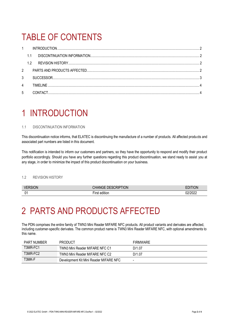## TABLE OF CONTENTS

|               | $1 \quad \blacksquare$ |           |  |
|---------------|------------------------|-----------|--|
|               |                        |           |  |
|               | 12                     |           |  |
| $\mathcal{P}$ |                        |           |  |
| 3             |                        |           |  |
| 4             |                        | TIMFI INF |  |
| 5             |                        |           |  |

### <span id="page-1-0"></span>1 INTRODUCTION

### <span id="page-1-1"></span>1.1 DISCONTINUATION INFORMATION

This discontinuation notice informs, that ELATEC is discontinuing the manufacture of a number of products. All affected products and associated part numbers are listed in this document.

This notification is intended to inform our customers and partners, so they have the opportunity to respond and modify their product portfolio accordingly. Should you have any further questions regarding this product discontinuation, we stand ready to assist you at any stage, in order to minimize the impact of this product discontinuation on your business.

### <span id="page-1-2"></span>1.2 REVISION HISTORY

| <b>VERSION</b><br>RSION | <b>HANGE DESCRIPTION</b>                         | <b>FDITION</b>  |
|-------------------------|--------------------------------------------------|-----------------|
| n,                      | <br>$- \cdot$<br>edition<br><b>Irct</b><br>וכ וו | naianaa<br>70ZZ |

### <span id="page-1-3"></span>2 PARTS AND PRODUCTS AFFECTED

The PDN comprises the entire family of TWN3 Mini Reader MIFARE NFC products. All product variants and derivates are affected, including customer-specific derivates. The common product name is TWN3 Mini Reader MIFARE NFC, with optional amendments to this name.

| PART NUMBER | <b>PRODUCT</b>                         | <b>FIRMWARE</b> |
|-------------|----------------------------------------|-----------------|
| T3MR-FC1    | TWN3 Mini Reader MIFARE NFC C1         | D/1.07          |
| T3MR-FC2    | TWN3 Mini Reader MIFARE NFC C2         | D/1.07          |
| T3MK-F      | Development Kit Mini Reader MIFARE NFC | -               |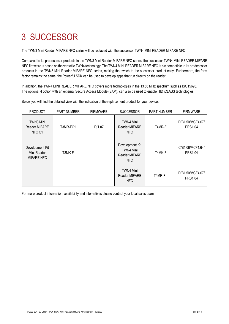# <span id="page-2-0"></span>3 SUCCESSOR

The TWN3 Mini Reader MIFARE NFC series will be replaced with the successor TWN4 MINI READER MIFARE NFC.

Compared to its predecessor products in the TWN3 Mini Reader MIFARE NFC series, the successor TWN4 MINI READER MIFARE NFC firmware is based on the versatile TWN4 technology. The TWN4 MINI READER MIFARE NFC is pin compatible to its predecessor products in the TWN3 Mini Reader MIFARE NFC series, making the switch to the successor product easy. Furthermore, the form factor remains the same, the Powerful SDK can be used to develop apps that run directly on the reader.

In addition, the TWN4 MINI READER MIFARE NFC covers more technologies in the 13.56 MHz spectrum such as ISO15693. The optional -I option with an external Secure Access Module (SAM), can also be used to enable HID iCLASS technologies.

Below you will find the detailed view with the indication of the replacement product for your device:

| <b>PRODUCT</b>                                      | <b>PART NUMBER</b> | <b>FIRMWARE</b> | <b>SUCCESSOR</b>                                                   | <b>PART NUMBER</b> | <b>FIRMWARE</b>                    |
|-----------------------------------------------------|--------------------|-----------------|--------------------------------------------------------------------|--------------------|------------------------------------|
| TWN3 Mini<br><b>Reader MIFARE</b><br>NFC C1         | T3MR-FC1           | D/1.07          | TWN4 Mini<br><b>Reader MIFARE</b><br>NFC                           | T4MR-F             | D/B1.50/MCE4.07/<br><b>PRS1.04</b> |
| Development Kit<br>Mini Reader<br><b>MIFARE NFC</b> | T3MK-F             |                 | Development Kit<br><b>TWN4 Mini</b><br><b>Reader MIFARE</b><br>NFC | T4MK-F             | C/B1.06/MCF1.64/<br><b>PRS1.04</b> |
|                                                     |                    |                 | <b>TWN4 Mini</b><br><b>Reader MIFARE</b><br><b>NFC</b>             | T4MR-F-I           | D/B1.50/MCE4.07/<br><b>PRS1.04</b> |

For more product information, availability and alternatives please contact your local sales team.